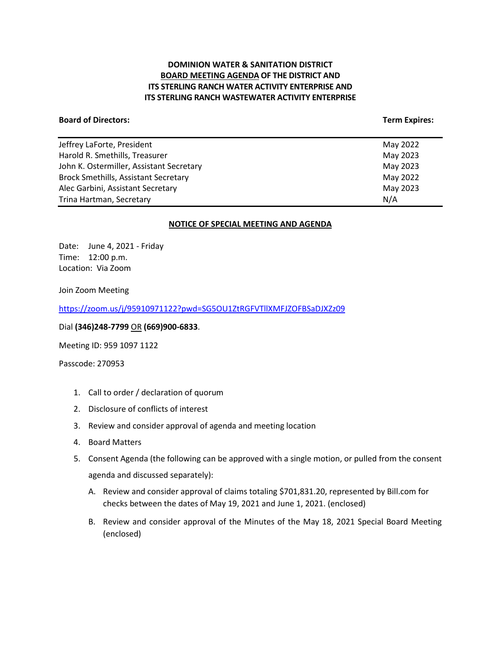# **DOMINION WATER & SANITATION DISTRICT BOARD MEETING AGENDA OF THE DISTRICT AND ITS STERLING RANCH WATER ACTIVITY ENTERPRISE AND ITS STERLING RANCH WASTEWATER ACTIVITY ENTERPRISE**

#### **Board of Directors:** Term Expires: Term Expires: Term Expires: Term Expires: Term Expires: Term Expires: Term Expires: Term Expires: Term Expires: Term Expires: Term Expires: Term Expires: Term Expires: Term Expires: Term

| Jeffrey LaForte, President                  | May 2022 |
|---------------------------------------------|----------|
| Harold R. Smethills, Treasurer              | May 2023 |
| John K. Ostermiller, Assistant Secretary    | May 2023 |
| <b>Brock Smethills, Assistant Secretary</b> | May 2022 |
| Alec Garbini, Assistant Secretary           | May 2023 |
| Trina Hartman, Secretary                    | N/A      |
|                                             |          |

#### **NOTICE OF SPECIAL MEETING AND AGENDA**

Date: June 4, 2021 - Friday Time: 12:00 p.m. Location: Via Zoom

Join Zoom Meeting

<https://zoom.us/j/95910971122?pwd=SG5OU1ZtRGFVTllXMFJZOFBSaDJXZz09>

Dial **(346)248-7799** OR **(669)900-6833**.

Meeting ID: 959 1097 1122

Passcode: 270953

- 1. Call to order / declaration of quorum
- 2. Disclosure of conflicts of interest
- 3. Review and consider approval of agenda and meeting location
- 4. Board Matters
- 5. Consent Agenda (the following can be approved with a single motion, or pulled from the consent agenda and discussed separately):
	- A. Review and consider approval of claims totaling \$701,831.20, represented by Bill.com for checks between the dates of May 19, 2021 and June 1, 2021. (enclosed)
	- B. Review and consider approval of the Minutes of the May 18, 2021 Special Board Meeting (enclosed)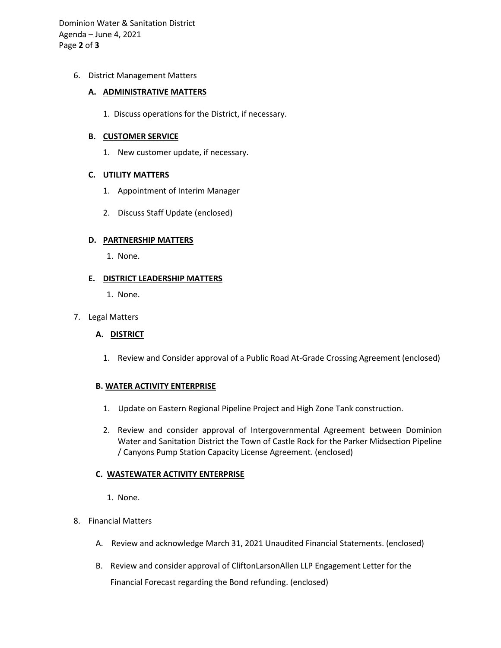Dominion Water & Sanitation District Agenda – June 4, 2021 Page **2** of **3**

## 6. District Management Matters

#### **A. ADMINISTRATIVE MATTERS**

1. Discuss operations for the District, if necessary.

### **B. CUSTOMER SERVICE**

1. New customer update, if necessary.

## **C. UTILITY MATTERS**

- 1. Appointment of Interim Manager
- 2. Discuss Staff Update (enclosed)

### **D. PARTNERSHIP MATTERS**

1. None.

## **E. DISTRICT LEADERSHIP MATTERS**

1. None.

### 7. Legal Matters

## **A. DISTRICT**

1. Review and Consider approval of a Public Road At-Grade Crossing Agreement (enclosed)

#### **B. WATER ACTIVITY ENTERPRISE**

- 1. Update on Eastern Regional Pipeline Project and High Zone Tank construction.
- 2. Review and consider approval of Intergovernmental Agreement between Dominion Water and Sanitation District the Town of Castle Rock for the Parker Midsection Pipeline / Canyons Pump Station Capacity License Agreement. (enclosed)

## **C. WASTEWATER ACTIVITY ENTERPRISE**

- 1. None.
- 8. Financial Matters
	- A. Review and acknowledge March 31, 2021 Unaudited Financial Statements. (enclosed)
	- B. Review and consider approval of CliftonLarsonAllen LLP Engagement Letter for the Financial Forecast regarding the Bond refunding. (enclosed)